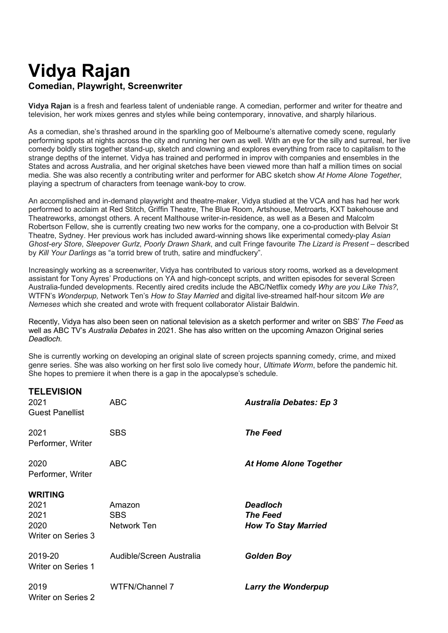# **Vidya Rajan Comedian, Playwright, Screenwriter**

**TELEVISION**

**Vidya Rajan** is a fresh and fearless talent of undeniable range. A comedian, performer and writer for theatre and television, her work mixes genres and styles while being contemporary, innovative, and sharply hilarious.

As a comedian, she's thrashed around in the sparkling goo of Melbourne's alternative comedy scene, regularly performing spots at nights across the city and running her own as well. With an eye for the silly and surreal, her live comedy boldly stirs together stand-up, sketch and clowning and explores everything from race to capitalism to the strange depths of the internet. Vidya has trained and performed in improv with companies and ensembles in the States and across Australia, and her original sketches have been viewed more than half a million times on social media. She was also recently a contributing writer and performer for ABC sketch show *At Home Alone Together*, playing a spectrum of characters from teenage wank-boy to crow.

An accomplished and in-demand playwright and theatre-maker, Vidya studied at the VCA and has had her work performed to acclaim at Red Stitch, Griffin Theatre, The Blue Room, Artshouse, Metroarts, KXT bakehouse and Theatreworks, amongst others. A recent Malthouse writer-in-residence, as well as a Besen and Malcolm Robertson Fellow, she is currently creating two new works for the company, one a co-production with Belvoir St Theatre, Sydney. Her previous work has included award-winning shows like experimental comedy-play *Asian Ghost-ery Store, Sleepover Gurlz, Poorly Drawn Shark, and cult Fringe favourite The Lizard is Present – described* by *Kill Your Darlings* as "a torrid brew of truth, satire and mindfuckery".

Increasingly working as a screenwriter, Vidya has contributed to various story rooms, worked as a development assistant for Tony Ayres' Productions on YA and high-concept scripts, and written episodes for several Screen Australia-funded developments. Recently aired credits include the ABC/Netflix comedy *Why are you Like This?*, WTFN's *Wonderpup,* Network Ten's *How to Stay Married* and digital live-streamed half-hour sitcom *We are Nemeses* which she created and wrote with frequent collaborator Alistair Baldwin.

Recently, Vidya has also been seen on national television as a sketch performer and writer on SBS' *The Feed* as well as ABC TV's *Australia Debates* in 2021. She has also written on the upcoming Amazon Original series *Deadloch.*

She is currently working on developing an original slate of screen projects spanning comedy, crime, and mixed genre series. She was also working on her first solo live comedy hour, *Ultimate Worm*, before the pandemic hit. She hopes to premiere it when there is a gap in the apocalypse's schedule.

| <u>I ELEVIƏIUN</u><br>2021<br><b>Guest Panellist</b> | <b>ABC</b>                          | <b>Australia Debates: Ep 3</b>                                   |
|------------------------------------------------------|-------------------------------------|------------------------------------------------------------------|
| 2021<br>Performer, Writer                            | <b>SBS</b>                          | <b>The Feed</b>                                                  |
| 2020<br>Performer, Writer                            | <b>ABC</b>                          | <b>At Home Alone Together</b>                                    |
| <b>WRITING</b>                                       |                                     |                                                                  |
| 2021<br>2021<br>2020<br>Writer on Series 3           | Amazon<br><b>SBS</b><br>Network Ten | <b>Deadloch</b><br><b>The Feed</b><br><b>How To Stay Married</b> |
| 2019-20<br>Writer on Series 1                        | Audible/Screen Australia            | <b>Golden Boy</b>                                                |
| 2019<br><b>Writer on Series 2</b>                    | WTFN/Channel 7                      | <b>Larry the Wonderpup</b>                                       |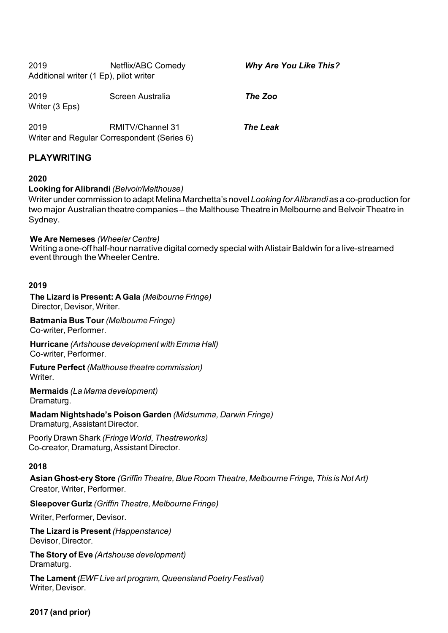| 2019<br>Additional writer (1 Ep), pilot writer | Netflix/ABC Comedy                                                     | <b>Why Are You Like This?</b> |
|------------------------------------------------|------------------------------------------------------------------------|-------------------------------|
| 2019<br>Writer (3 Eps)                         | Screen Australia                                                       | The Zoo                       |
| 2019                                           | <b>RMITV/Channel 31</b><br>Writer and Regular Correspondent (Series 6) | <b>The Leak</b>               |

# **PLAYWRITING**

# **2020**

# **Looking for Alibrandi** *(Belvoir/Malthouse)*

Writer under commission to adapt Melina Marchetta's novel *Looking forAlibrandi* as a co-production for two major Australian theatre companies – the Malthouse Theatre in Melbourne and Belvoir Theatre in Sydney.

#### **We Are Nemeses** *(Wheeler Centre)*

Writing a one-off half-hour narrative digital comedy special with Alistair Baldwin for a live-streamed event through the Wheeler Centre.

#### **2019**

**The Lizard is Present: A Gala** *(Melbourne Fringe)* Director, Devisor, Writer.

**Batmania Bus Tour***(Melbourne Fringe)* Co-writer, Performer.

**Hurricane** *(Artshouse development withEmma Hall)* Co-writer, Performer.

**Future Perfect** *(Malthouse theatre commission)* Writer.

**Mermaids** *(La Mama development)* Dramaturg.

**Madam Nightshade's Poison Garden** *(Midsumma, Darwin Fringe)* Dramaturg, Assistant Director.

Poorly Drawn Shark *(FringeWorld, Theatreworks)* Co-creator, Dramaturg, Assistant Director.

# **2018**

**Asian Ghost-ery Store** *(Griffin Theatre,Blue Room Theatre, Melbourne Fringe, This is NotArt)* Creator, Writer, Performer.

**Sleepover Gurlz** *(Griffin Theatre, Melbourne Fringe)*

Writer, Performer, Devisor.

**The Lizard is Present** *(Happenstance)* Devisor, Director.

**The Story of Eve** *(Artshouse development)* Dramaturg.

**The Lament** *(EWFLive art program, QueenslandPoetry Festival)* Writer, Devisor.

# **2017 (and prior)**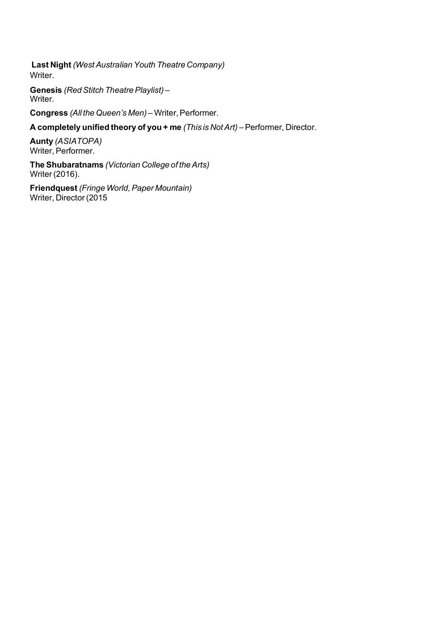**Last Night** *(WestAustralianYouth Theatre Company)* Writer.

**Genesis** (Red Stitch Theatre Playlist) – Writer.

**Congress** (All the Queen's Men) – Writer, Performer.

**A completely unified theory of you + me** *(This is NotArt)* –Performer, Director.

**Aunty** *(ASIATOPA)* Writer, Performer.

**The Shubaratnams** *(Victorian College of theArts)* Writer (2016).

**Friendquest** *(Fringe World,Paper Mountain)* Writer, Director (2015